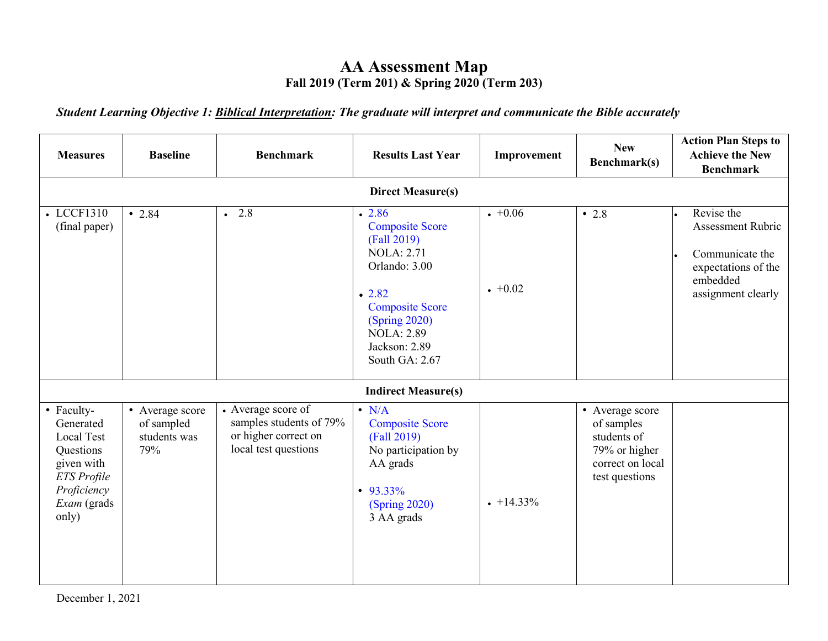## **AA Assessment Map Fall 2019 (Term 201) & Spring 2020 (Term 203)**

*Student Learning Objective 1: Biblical Interpretation: The graduate will interpret and communicate the Bible accurately*

| <b>Measures</b>                                                                                                        | <b>Baseline</b>                                      | <b>Benchmark</b>                                                                                      | <b>Results Last Year</b>                                                                                                                                                                          | Improvement        | <b>New</b><br>Benchmark(s)                                                                          | <b>Action Plan Steps to</b><br><b>Achieve the New</b><br><b>Benchmark</b>                                          |
|------------------------------------------------------------------------------------------------------------------------|------------------------------------------------------|-------------------------------------------------------------------------------------------------------|---------------------------------------------------------------------------------------------------------------------------------------------------------------------------------------------------|--------------------|-----------------------------------------------------------------------------------------------------|--------------------------------------------------------------------------------------------------------------------|
|                                                                                                                        |                                                      |                                                                                                       | <b>Direct Measure(s)</b>                                                                                                                                                                          |                    |                                                                                                     |                                                                                                                    |
| • LCCF1310<br>(final paper)                                                                                            | $\cdot$ 2.84                                         | $\cdot$ 2.8                                                                                           | .2.86<br><b>Composite Score</b><br>(Fall 2019)<br><b>NOLA</b> : 2.71<br>Orlando: 3.00<br>.2.82<br><b>Composite Score</b><br>(Spring 2020)<br><b>NOLA: 2.89</b><br>Jackson: 2.89<br>South GA: 2.67 | $+0.06$<br>$+0.02$ | $\cdot$ 2.8                                                                                         | Revise the<br><b>Assessment Rubric</b><br>Communicate the<br>expectations of the<br>embedded<br>assignment clearly |
|                                                                                                                        |                                                      |                                                                                                       | <b>Indirect Measure(s)</b>                                                                                                                                                                        |                    |                                                                                                     |                                                                                                                    |
| • Faculty-<br>Generated<br>Local Test<br>Questions<br>given with<br>ETS Profile<br>Proficiency<br>Exam (grads<br>only) | • Average score<br>of sampled<br>students was<br>79% | $\bullet$ Average score of<br>samples students of 79%<br>or higher correct on<br>local test questions | $\bullet$ N/A<br><b>Composite Score</b><br>(Fall 2019)<br>No participation by<br>AA grads<br>$\cdot$ 93.33%<br>(Spring 2020)<br>3 AA grads                                                        | $+14.33\%$         | • Average score<br>of samples<br>students of<br>79% or higher<br>correct on local<br>test questions |                                                                                                                    |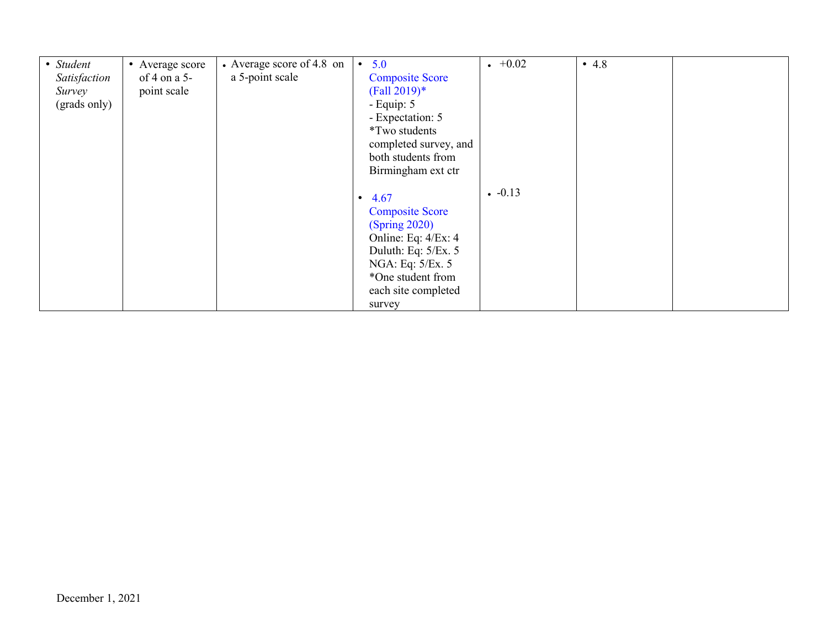| • Student    | • Average score | • Average score of 4.8 on | 5.0<br>$\bullet$       | $+0.02$ | • 4.8 |  |
|--------------|-----------------|---------------------------|------------------------|---------|-------|--|
| Satisfaction | of 4 on a 5-    | a 5-point scale           | <b>Composite Score</b> |         |       |  |
| Survey       | point scale     |                           | $(Fall 2019)*$         |         |       |  |
| (grads only) |                 |                           | - Equip: $5$           |         |       |  |
|              |                 |                           | - Expectation: 5       |         |       |  |
|              |                 |                           | <i>*Two students</i>   |         |       |  |
|              |                 |                           | completed survey, and  |         |       |  |
|              |                 |                           | both students from     |         |       |  |
|              |                 |                           | Birmingham ext ctr     |         |       |  |
|              |                 |                           |                        | $-0.13$ |       |  |
|              |                 |                           | $\cdot$ 4.67           |         |       |  |
|              |                 |                           | <b>Composite Score</b> |         |       |  |
|              |                 |                           | (Spring 2020)          |         |       |  |
|              |                 |                           | Online: Eq: 4/Ex: 4    |         |       |  |
|              |                 |                           | Duluth: Eq: 5/Ex. 5    |         |       |  |
|              |                 |                           | NGA: Eq: 5/Ex. 5       |         |       |  |
|              |                 |                           | *One student from      |         |       |  |
|              |                 |                           | each site completed    |         |       |  |
|              |                 |                           | survey                 |         |       |  |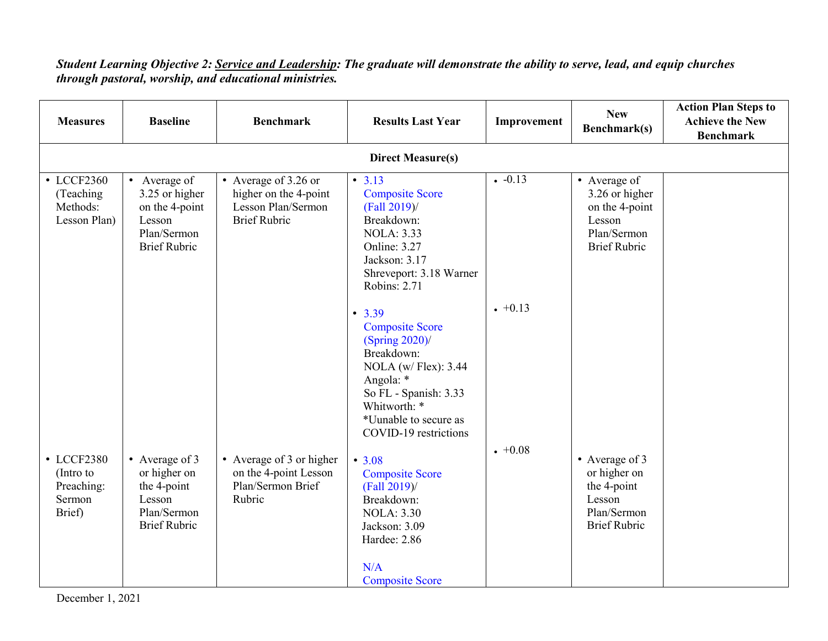## *Student Learning Objective 2: Service and Leadership: The graduate will demonstrate the ability to serve, lead, and equip churches through pastoral, worship, and educational ministries.*

| <b>Measures</b>                                           | <b>Baseline</b>                                                                                  | <b>Benchmark</b>                                                                           | <b>Results Last Year</b>                                                                                                                                                                                                                                                                                                                                 | Improvement        | <b>New</b><br>Benchmark(s)                                                                       | <b>Action Plan Steps to</b><br><b>Achieve the New</b> |  |
|-----------------------------------------------------------|--------------------------------------------------------------------------------------------------|--------------------------------------------------------------------------------------------|----------------------------------------------------------------------------------------------------------------------------------------------------------------------------------------------------------------------------------------------------------------------------------------------------------------------------------------------------------|--------------------|--------------------------------------------------------------------------------------------------|-------------------------------------------------------|--|
| <b>Benchmark</b><br><b>Direct Measure(s)</b>              |                                                                                                  |                                                                                            |                                                                                                                                                                                                                                                                                                                                                          |                    |                                                                                                  |                                                       |  |
| • LCCF2360<br>(Teaching)<br>Methods:<br>Lesson Plan)      | • Average of<br>3.25 or higher<br>on the 4-point<br>Lesson<br>Plan/Sermon<br><b>Brief Rubric</b> | • Average of 3.26 or<br>higher on the 4-point<br>Lesson Plan/Sermon<br><b>Brief Rubric</b> | • 3.13<br><b>Composite Score</b><br>$(Fall 2019)$ /<br>Breakdown:<br><b>NOLA: 3.33</b><br><b>Online: 3.27</b><br>Jackson: 3.17<br>Shreveport: 3.18 Warner<br><b>Robins: 2.71</b>                                                                                                                                                                         | $-0.13$            | • Average of<br>3.26 or higher<br>on the 4-point<br>Lesson<br>Plan/Sermon<br><b>Brief Rubric</b> |                                                       |  |
| • LCCF2380<br>(Intro to<br>Preaching:<br>Sermon<br>Brief) | • Average of 3<br>or higher on<br>the 4-point<br>Lesson<br>Plan/Sermon<br><b>Brief Rubric</b>    | • Average of 3 or higher<br>on the 4-point Lesson<br>Plan/Sermon Brief<br>Rubric           | • 3.39<br><b>Composite Score</b><br>(Spring 2020)<br>Breakdown:<br>NOLA (w/ Flex): 3.44<br>Angola: *<br>So FL - Spanish: 3.33<br>Whitworth: *<br>*Uunable to secure as<br>COVID-19 restrictions<br>• 3.08<br><b>Composite Score</b><br>(Fall 2019)/<br>Breakdown:<br><b>NOLA: 3.30</b><br>Jackson: 3.09<br>Hardee: 2.86<br>N/A<br><b>Composite Score</b> | $+0.13$<br>$+0.08$ | • Average of 3<br>or higher on<br>the 4-point<br>Lesson<br>Plan/Sermon<br><b>Brief Rubric</b>    |                                                       |  |

December 1, 2021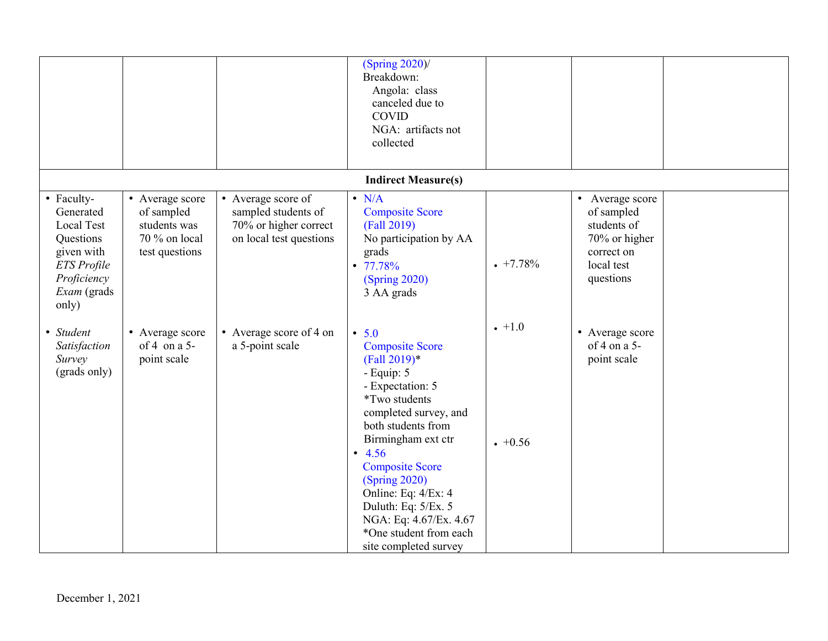|                                                                                                                               |                                                                                  |                                                                                               | (Spring 2020)<br>Breakdown:<br>Angola: class<br>canceled due to<br><b>COVID</b><br>NGA: artifacts not<br>collected                                                                                                                                                                                                                                                     |                   |                                                                                                        |  |
|-------------------------------------------------------------------------------------------------------------------------------|----------------------------------------------------------------------------------|-----------------------------------------------------------------------------------------------|------------------------------------------------------------------------------------------------------------------------------------------------------------------------------------------------------------------------------------------------------------------------------------------------------------------------------------------------------------------------|-------------------|--------------------------------------------------------------------------------------------------------|--|
|                                                                                                                               |                                                                                  |                                                                                               | <b>Indirect Measure(s)</b>                                                                                                                                                                                                                                                                                                                                             |                   |                                                                                                        |  |
| • Faculty-<br>Generated<br><b>Local Test</b><br>Questions<br>given with<br>ETS Profile<br>Proficiency<br>Exam (grads<br>only) | • Average score<br>of sampled<br>students was<br>70 % on local<br>test questions | • Average score of<br>sampled students of<br>70% or higher correct<br>on local test questions | $\bullet$ N/A<br><b>Composite Score</b><br>(Fall 2019)<br>No participation by AA<br>grads<br>$\cdot$ 77.78%<br>(Spring 2020)<br>3 AA grads                                                                                                                                                                                                                             | $+7.78%$          | • Average score<br>of sampled<br>students of<br>70% or higher<br>correct on<br>local test<br>questions |  |
| • Student<br>Satisfaction<br>Survey<br>(grads only)                                                                           | • Average score<br>of 4 on a $5-$<br>point scale                                 | • Average score of 4 on<br>a 5-point scale                                                    | • 5.0<br><b>Composite Score</b><br>$(Fall 2019)*$<br>- Equip: 5<br>- Expectation: 5<br><i>*Two students</i><br>completed survey, and<br>both students from<br>Birmingham ext ctr<br>$\cdot$ 4.56<br><b>Composite Score</b><br>(Spring 2020)<br>Online: Eq: 4/Ex: 4<br>Duluth: Eq: 5/Ex. 5<br>NGA: Eq: 4.67/Ex. 4.67<br>*One student from each<br>site completed survey | $+1.0$<br>$+0.56$ | • Average score<br>of 4 on a 5-<br>point scale                                                         |  |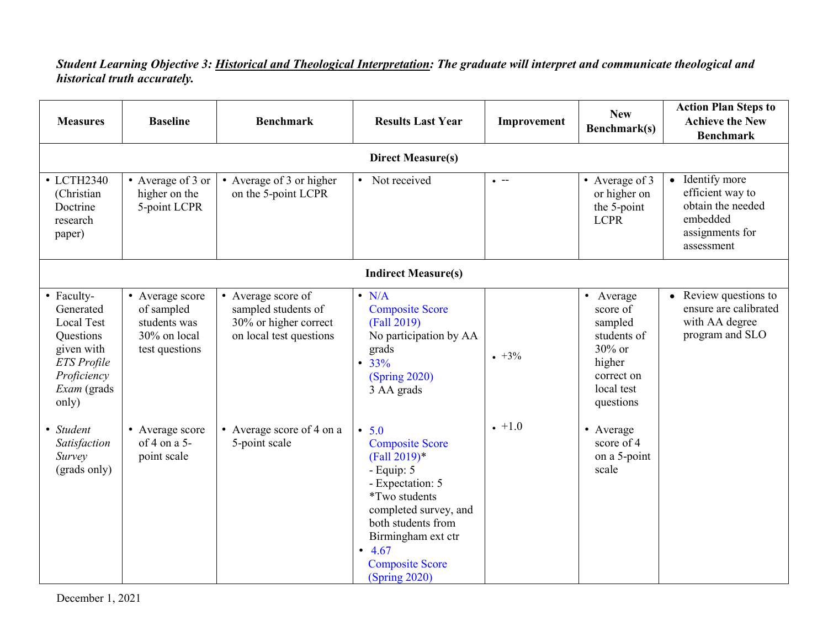## *Student Learning Objective 3: Historical and Theological Interpretation: The graduate will interpret and communicate theological and historical truth accurately.*

| <b>Measures</b>                                                                                                                             | <b>Baseline</b>                                                                 | <b>Benchmark</b>                                                                              | <b>Results Last Year</b>                                                                                                                                                                                                                    | Improvement  | <b>New</b><br>Benchmark(s)                                                                                   | <b>Action Plan Steps to</b><br><b>Achieve the New</b><br><b>Benchmark</b>                             |  |  |
|---------------------------------------------------------------------------------------------------------------------------------------------|---------------------------------------------------------------------------------|-----------------------------------------------------------------------------------------------|---------------------------------------------------------------------------------------------------------------------------------------------------------------------------------------------------------------------------------------------|--------------|--------------------------------------------------------------------------------------------------------------|-------------------------------------------------------------------------------------------------------|--|--|
|                                                                                                                                             | <b>Direct Measure(s)</b>                                                        |                                                                                               |                                                                                                                                                                                                                                             |              |                                                                                                              |                                                                                                       |  |  |
| • LCTH2340<br>(Christian<br>Doctrine<br>research<br>paper)                                                                                  | • Average of 3 or<br>higher on the<br>5-point LCPR                              | • Average of 3 or higher<br>on the 5-point LCPR                                               | • Not received                                                                                                                                                                                                                              | $\bullet$ -- | • Average of 3<br>or higher on<br>the 5-point<br><b>LCPR</b>                                                 | • Identify more<br>efficient way to<br>obtain the needed<br>embedded<br>assignments for<br>assessment |  |  |
|                                                                                                                                             |                                                                                 |                                                                                               | <b>Indirect Measure(s)</b>                                                                                                                                                                                                                  |              |                                                                                                              |                                                                                                       |  |  |
| • Faculty-<br>Generated<br><b>Local Test</b><br>Questions<br>given with<br><b>ETS</b> Profile<br>Proficiency<br><i>Exam</i> (grads<br>only) | • Average score<br>of sampled<br>students was<br>30% on local<br>test questions | • Average score of<br>sampled students of<br>30% or higher correct<br>on local test questions | $\bullet$ N/A<br><b>Composite Score</b><br>(Fall 2019)<br>No participation by AA<br>grads<br>• 33%<br>(Spring 2020)<br>3 AA grads                                                                                                           | $+3\%$       | • Average<br>score of<br>sampled<br>students of<br>30% or<br>higher<br>correct on<br>local test<br>questions | • Review questions to<br>ensure are calibrated<br>with AA degree<br>program and SLO                   |  |  |
| • Student<br>Satisfaction<br>Survey<br>(grads only)                                                                                         | • Average score<br>of 4 on a $5-$<br>point scale                                | • Average score of 4 on a<br>5-point scale                                                    | • 5.0<br><b>Composite Score</b><br>$(Fall 2019)*$<br>- Equip: 5<br>- Expectation: 5<br><i>*Two students</i><br>completed survey, and<br>both students from<br>Birmingham ext ctr<br>$\cdot$ 4.67<br><b>Composite Score</b><br>(Spring 2020) | $+1.0$       | • Average<br>score of 4<br>on a 5-point<br>scale                                                             |                                                                                                       |  |  |